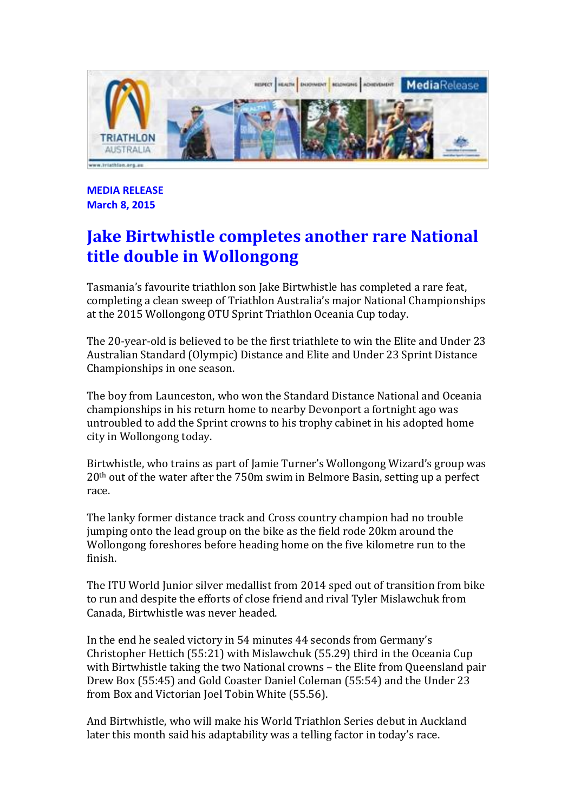

**MEDIA RELEASE March 8, 2015**

# **Jake Birtwhistle completes another rare National title double in Wollongong**

Tasmania's favourite triathlon son Jake Birtwhistle has completed a rare feat, completing a clean sweep of Triathlon Australia's major National Championships at the 2015 Wollongong OTU Sprint Triathlon Oceania Cup today.

The 20-year-old is believed to be the first triathlete to win the Elite and Under 23 Australian Standard (Olympic) Distance and Elite and Under 23 Sprint Distance Championships in one season.

The boy from Launceston, who won the Standard Distance National and Oceania championships in his return home to nearby Devonport a fortnight ago was untroubled to add the Sprint crowns to his trophy cabinet in his adopted home city in Wollongong today.

Birtwhistle, who trains as part of Jamie Turner's Wollongong Wizard's group was 20th out of the water after the 750m swim in Belmore Basin, setting up a perfect race.

The lanky former distance track and Cross country champion had no trouble jumping onto the lead group on the bike as the field rode 20km around the Wollongong foreshores before heading home on the five kilometre run to the finish.

The ITU World Junior silver medallist from 2014 sped out of transition from bike to run and despite the efforts of close friend and rival Tyler Mislawchuk from Canada, Birtwhistle was never headed.

In the end he sealed victory in 54 minutes 44 seconds from Germany's Christopher Hettich (55:21) with Mislawchuk (55.29) third in the Oceania Cup with Birtwhistle taking the two National crowns – the Elite from Queensland pair Drew Box (55:45) and Gold Coaster Daniel Coleman (55:54) and the Under 23 from Box and Victorian Joel Tobin White (55.56).

And Birtwhistle, who will make his World Triathlon Series debut in Auckland later this month said his adaptability was a telling factor in today's race.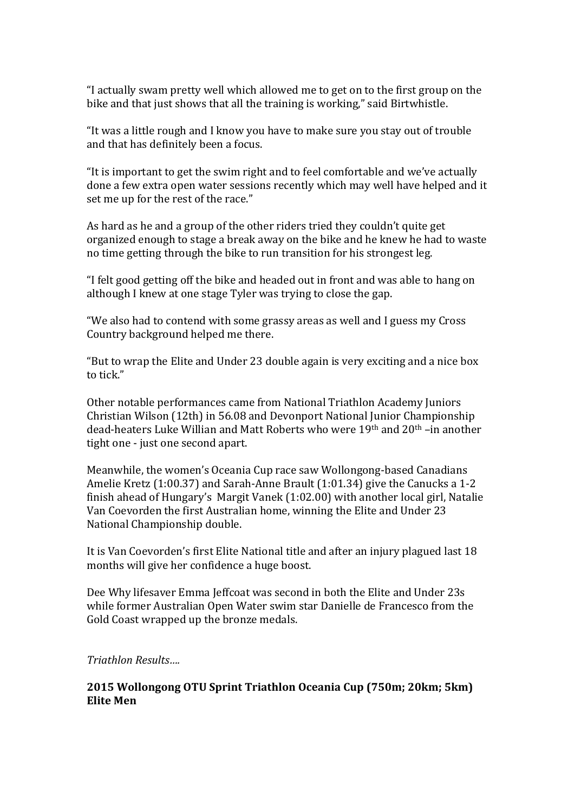"I actually swam pretty well which allowed me to get on to the first group on the bike and that just shows that all the training is working," said Birtwhistle.

"It was a little rough and I know you have to make sure you stay out of trouble and that has definitely been a focus.

"It is important to get the swim right and to feel comfortable and we've actually done a few extra open water sessions recently which may well have helped and it set me up for the rest of the race."

As hard as he and a group of the other riders tried they couldn't quite get organized enough to stage a break away on the bike and he knew he had to waste no time getting through the bike to run transition for his strongest leg.

"I felt good getting off the bike and headed out in front and was able to hang on although I knew at one stage Tyler was trying to close the gap.

"We also had to contend with some grassy areas as well and I guess my Cross Country background helped me there.

"But to wrap the Elite and Under 23 double again is very exciting and a nice box to tick."

Other notable performances came from National Triathlon Academy Juniors Christian Wilson (12th) in 56.08 and Devonport National Junior Championship dead-heaters Luke Willian and Matt Roberts who were 19th and 20th –in another tight one - just one second apart.

Meanwhile, the women's Oceania Cup race saw Wollongong-based Canadians Amelie Kretz (1:00.37) and Sarah-Anne Brault (1:01.34) give the Canucks a 1-2 finish ahead of Hungary's Margit Vanek (1:02.00) with another local girl, Natalie Van Coevorden the first Australian home, winning the Elite and Under 23 National Championship double.

It is Van Coevorden's first Elite National title and after an injury plagued last 18 months will give her confidence a huge boost.

Dee Why lifesaver Emma Jeffcoat was second in both the Elite and Under 23s while former Australian Open Water swim star Danielle de Francesco from the Gold Coast wrapped up the bronze medals.

*Triathlon Results….*

## **2015 Wollongong OTU Sprint Triathlon Oceania Cup (750m; 20km; 5km) Elite Men**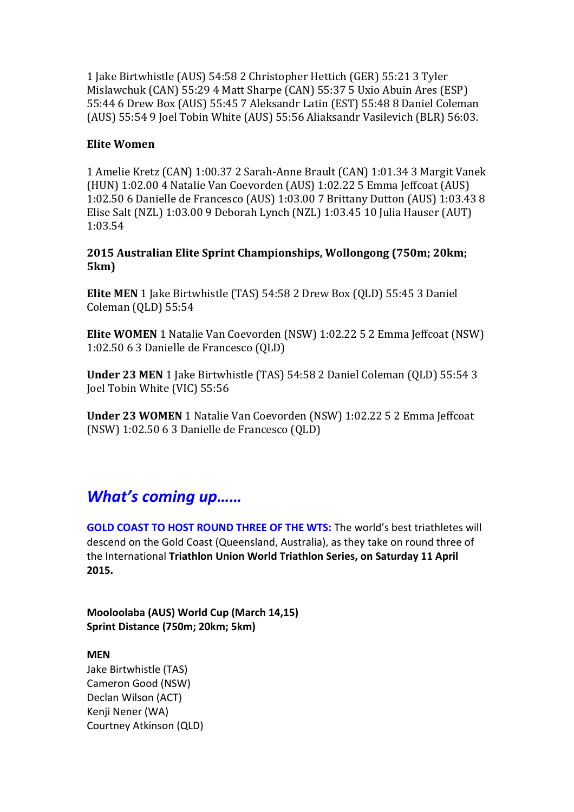1 Jake Birtwhistle (AUS) 54:58 2 Christopher Hettich (GER) 55:21 3 Tyler Mislawchuk (CAN) 55:29 4 Matt Sharpe (CAN) 55:37 5 Uxio Abuin Ares (ESP) 55:44 6 Drew Box (AUS) 55:45 7 Aleksandr Latin (EST) 55:48 8 Daniel Coleman (AUS) 55:54 9 Joel Tobin White (AUS) 55:56 Aliaksandr Vasilevich (BLR) 56:03.

#### **Elite Women**

1 Amelie Kretz (CAN) 1:00.37 2 Sarah-Anne Brault (CAN) 1:01.34 3 Margit Vanek (HUN) 1:02.00 4 Natalie Van Coevorden (AUS) 1:02.22 5 Emma Jeffcoat (AUS) 1:02.50 6 Danielle de Francesco (AUS) 1:03.00 7 Brittany Dutton (AUS) 1:03.43 8 Elise Salt (NZL) 1:03.00 9 Deborah Lynch (NZL) 1:03.45 10 Julia Hauser (AUT) 1:03.54

## **2015 Australian Elite Sprint Championships, Wollongong (750m; 20km; 5km)**

**Elite MEN** 1 Jake Birtwhistle (TAS) 54:58 2 Drew Box (QLD) 55:45 3 Daniel Coleman (QLD) 55:54

**Elite WOMEN** 1 Natalie Van Coevorden (NSW) 1:02.22 5 2 Emma Jeffcoat (NSW) 1:02.50 6 3 Danielle de Francesco (QLD)

**Under 23 MEN** 1 Jake Birtwhistle (TAS) 54:58 2 Daniel Coleman (QLD) 55:54 3 Joel Tobin White (VIC) 55:56

**Under 23 WOMEN** 1 Natalie Van Coevorden (NSW) 1:02.22 5 2 Emma Jeffcoat (NSW) 1:02.50 6 3 Danielle de Francesco (QLD)

# *What's coming up……*

**GOLD COAST TO HOST ROUND THREE OF THE WTS:** The world's best triathletes will descend on the Gold Coast (Queensland, Australia), as they take on round three of the International **Triathlon Union World Triathlon Series, on Saturday 11 April 2015.**

**Mooloolaba (AUS) World Cup (March 14,15) Sprint Distance (750m; 20km; 5km)**

#### **MEN**

Jake Birtwhistle (TAS) Cameron Good (NSW) Declan Wilson (ACT) Kenji Nener (WA) Courtney Atkinson (QLD)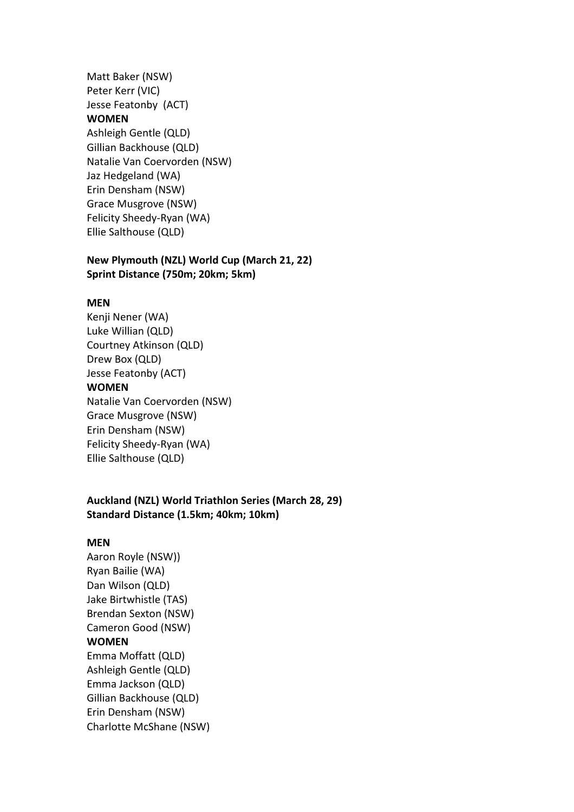Matt Baker (NSW) Peter Kerr (VIC) Jesse Featonby (ACT) **WOMEN** Ashleigh Gentle (QLD) Gillian Backhouse (QLD) Natalie Van Coervorden (NSW) Jaz Hedgeland (WA) Erin Densham (NSW) Grace Musgrove (NSW) Felicity Sheedy-Ryan (WA) Ellie Salthouse (QLD)

#### **New Plymouth (NZL) World Cup (March 21, 22) Sprint Distance (750m; 20km; 5km)**

#### **MEN**

Kenji Nener (WA) Luke Willian (QLD) Courtney Atkinson (QLD) Drew Box (QLD) Jesse Featonby (ACT) **WOMEN** Natalie Van Coervorden (NSW) Grace Musgrove (NSW) Erin Densham (NSW) Felicity Sheedy-Ryan (WA) Ellie Salthouse (QLD)

#### **Auckland (NZL) World Triathlon Series (March 28, 29) Standard Distance (1.5km; 40km; 10km)**

#### **MEN**

Aaron Royle (NSW)) Ryan Bailie (WA) Dan Wilson (QLD) Jake Birtwhistle (TAS) Brendan Sexton (NSW) Cameron Good (NSW) **WOMEN** Emma Moffatt (QLD) Ashleigh Gentle (QLD) Emma Jackson (QLD) Gillian Backhouse (QLD) Erin Densham (NSW) Charlotte McShane (NSW)